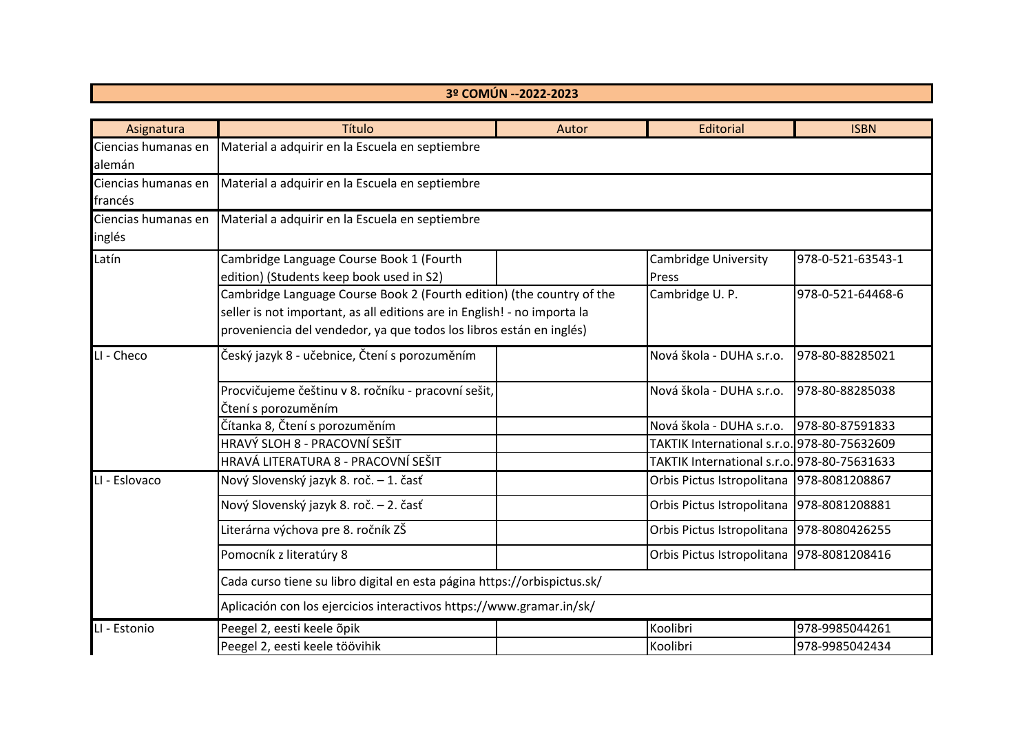## **3º COMÚN --2022-2023**

| Asignatura          | Título                                                                   | Autor | Editorial                                   | <b>ISBN</b>       |  |
|---------------------|--------------------------------------------------------------------------|-------|---------------------------------------------|-------------------|--|
| Ciencias humanas en | Material a adquirir en la Escuela en septiembre                          |       |                                             |                   |  |
| alemán              |                                                                          |       |                                             |                   |  |
| Ciencias humanas en | Material a adquirir en la Escuela en septiembre                          |       |                                             |                   |  |
| francés             |                                                                          |       |                                             |                   |  |
| Ciencias humanas en | Material a adquirir en la Escuela en septiembre                          |       |                                             |                   |  |
| inglés              |                                                                          |       |                                             |                   |  |
| Latín               | Cambridge Language Course Book 1 (Fourth                                 |       | Cambridge University                        | 978-0-521-63543-1 |  |
|                     | edition) (Students keep book used in S2)                                 |       | Press                                       |                   |  |
|                     | Cambridge Language Course Book 2 (Fourth edition) (the country of the    |       | Cambridge U.P.                              | 978-0-521-64468-6 |  |
|                     | seller is not important, as all editions are in English! - no importa la |       |                                             |                   |  |
|                     | proveniencia del vendedor, ya que todos los libros están en inglés)      |       |                                             |                   |  |
| LI - Checo          | Český jazyk 8 - učebnice, Čtení s porozuměním                            |       | Nová škola - DUHA s.r.o.                    | 978-80-88285021   |  |
|                     |                                                                          |       |                                             |                   |  |
|                     | Procvičujeme češtinu v 8. ročníku - pracovní sešit,                      |       | Nová škola - DUHA s.r.o.                    | 978-80-88285038   |  |
|                     | Čtení s porozuměním                                                      |       |                                             |                   |  |
|                     | Čítanka 8, Čtení s porozuměním                                           |       | Nová škola - DUHA s.r.o.                    | 978-80-87591833   |  |
|                     | HRAVÝ SLOH 8 - PRACOVNÍ SEŠIT                                            |       | TAKTIK International s.r.o. 978-80-75632609 |                   |  |
|                     | HRAVÁ LITERATURA 8 - PRACOVNÍ SEŠIT                                      |       | TAKTIK International s.r.o. 978-80-75631633 |                   |  |
| LI - Eslovaco       | Nový Slovenský jazyk 8. roč. – 1. časť                                   |       | Orbis Pictus Istropolitana                  | 978-8081208867    |  |
|                     | Nový Slovenský jazyk 8. roč. – 2. časť                                   |       | Orbis Pictus Istropolitana                  | 978-8081208881    |  |
|                     | Literárna výchova pre 8. ročník ZŠ                                       |       | Orbis Pictus Istropolitana                  | 978-8080426255    |  |
|                     | Pomocník z literatúry 8                                                  |       | Orbis Pictus Istropolitana 978-8081208416   |                   |  |
|                     | Cada curso tiene su libro digital en esta página https://orbispictus.sk/ |       |                                             |                   |  |
|                     | Aplicación con los ejercicios interactivos https://www.gramar.in/sk/     |       |                                             |                   |  |
| LI - Estonio        | Peegel 2, eesti keele õpik                                               |       | Koolibri                                    | 978-9985044261    |  |
|                     | Peegel 2, eesti keele töövihik                                           |       | Koolibri                                    | 978-9985042434    |  |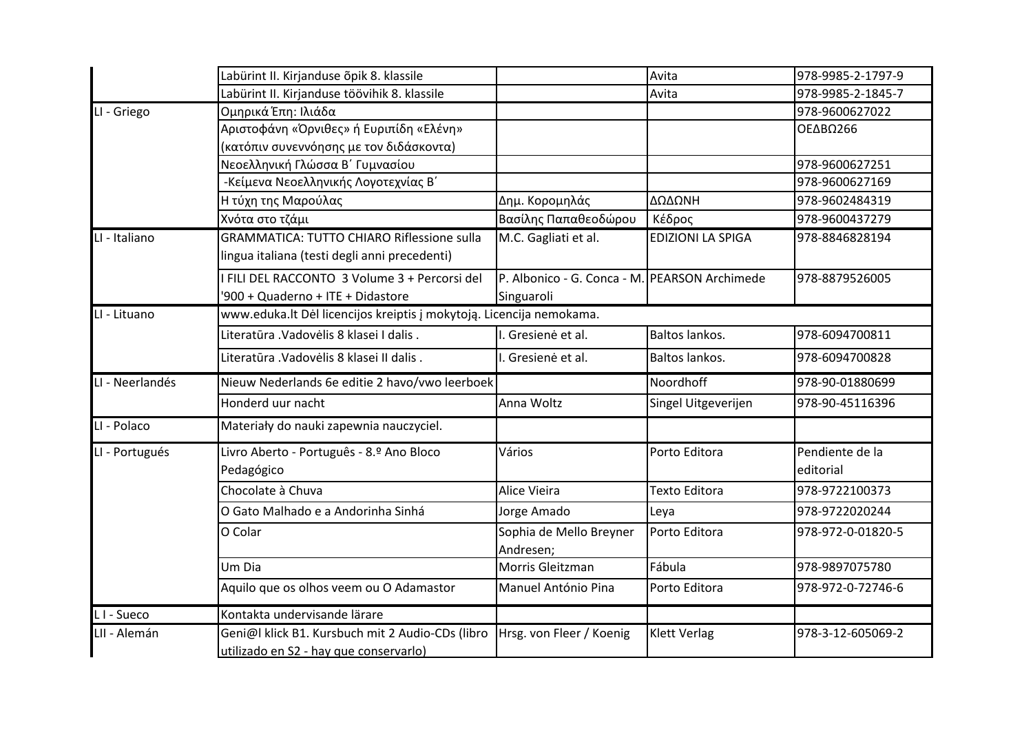|                        | Labürint II. Kirjanduse õpik 8. klassile                                                           |                                                             | Avita                    | 978-9985-2-1797-9            |  |
|------------------------|----------------------------------------------------------------------------------------------------|-------------------------------------------------------------|--------------------------|------------------------------|--|
|                        | Labürint II. Kirjanduse töövihik 8. klassile                                                       |                                                             | Avita                    | 978-9985-2-1845-7            |  |
| LI - Griego            | Ομηρικά Έπη: Ιλιάδα                                                                                |                                                             |                          | 978-9600627022               |  |
|                        | Αριστοφάνη «Όρνιθες» ή Ευριπίδη «Ελένη»                                                            |                                                             |                          | ΟΕΔΒΩ266                     |  |
|                        | (κατόπιν συνεννόησης με τον διδάσκοντα)                                                            |                                                             |                          |                              |  |
|                        | Νεοελληνική Γλώσσα Β΄ Γυμνασίου                                                                    |                                                             |                          | 978-9600627251               |  |
|                        | -Κείμενα Νεοελληνικής Λογοτεχνίας Β'                                                               |                                                             |                          | 978-9600627169               |  |
|                        | Η τύχη της Μαρούλας                                                                                | Δημ. Κορομηλάς                                              | ΔΩΔΩΝΗ                   | 978-9602484319               |  |
|                        | Χνότα στο τζάμι                                                                                    | Βασίλης Παπαθεοδώρου                                        | Κέδρος                   | 978-9600437279               |  |
| LI - Italiano          | <b>GRAMMATICA: TUTTO CHIARO Riflessione sulla</b><br>lingua italiana (testi degli anni precedenti) | $\overline{M}$ .C. Gagliati et al.                          | <b>EDIZIONI LA SPIGA</b> | 978-8846828194               |  |
|                        | I FILI DEL RACCONTO 3 Volume 3 + Percorsi del<br>'900 + Quaderno + ITE + Didastore                 | P. Albonico - G. Conca - M. PEARSON Archimede<br>Singuaroli |                          | 978-8879526005               |  |
| LI - Lituano           | www.eduka.lt Dėl licencijos kreiptis į mokytoją. Licencija nemokama.                               |                                                             |                          |                              |  |
|                        | Literatūra . Vadovėlis 8 klasei I dalis.                                                           | I. Gresienė et al.                                          | Baltos lankos.           | 978-6094700811               |  |
|                        | Literatūra .Vadovėlis 8 klasei II dalis.                                                           | I. Gresienė et al.                                          | Baltos lankos.           | 978-6094700828               |  |
| LI - Neerlandés        | Nieuw Nederlands 6e editie 2 havo/vwo leerboek                                                     |                                                             | Noordhoff                | 978-90-01880699              |  |
|                        | Honderd uur nacht                                                                                  | Anna Woltz                                                  | Singel Uitgeverijen      | 978-90-45116396              |  |
| LI - Polaco            | Materiały do nauki zapewnia nauczyciel.                                                            |                                                             |                          |                              |  |
| LI - Portugués         | Livro Aberto - Português - 8.º Ano Bloco<br>Pedagógico                                             | Vários                                                      | Porto Editora            | Pendiente de la<br>editorial |  |
|                        | Chocolate à Chuva                                                                                  | Alice Vieira                                                | <b>Texto Editora</b>     | 978-9722100373               |  |
|                        | O Gato Malhado e a Andorinha Sinhá                                                                 | Jorge Amado                                                 | Leya                     | 978-9722020244               |  |
|                        | O Colar                                                                                            | Sophia de Mello Breyner<br>Andresen;                        | Porto Editora            | 978-972-0-01820-5            |  |
|                        | Um Dia                                                                                             | Morris Gleitzman                                            | Fábula                   | 978-9897075780               |  |
|                        | Aquilo que os olhos veem ou O Adamastor                                                            | Manuel António Pina                                         | Porto Editora            | 978-972-0-72746-6            |  |
| L <sub>I</sub> - Sueco | Kontakta undervisande lärare                                                                       |                                                             |                          |                              |  |
| LII - Alemán           | Geni@l klick B1. Kursbuch mit 2 Audio-CDs (libro<br>utilizado en S2 - hay que conservarlo)         | Hrsg. von Fleer / Koenig                                    | <b>Klett Verlag</b>      | 978-3-12-605069-2            |  |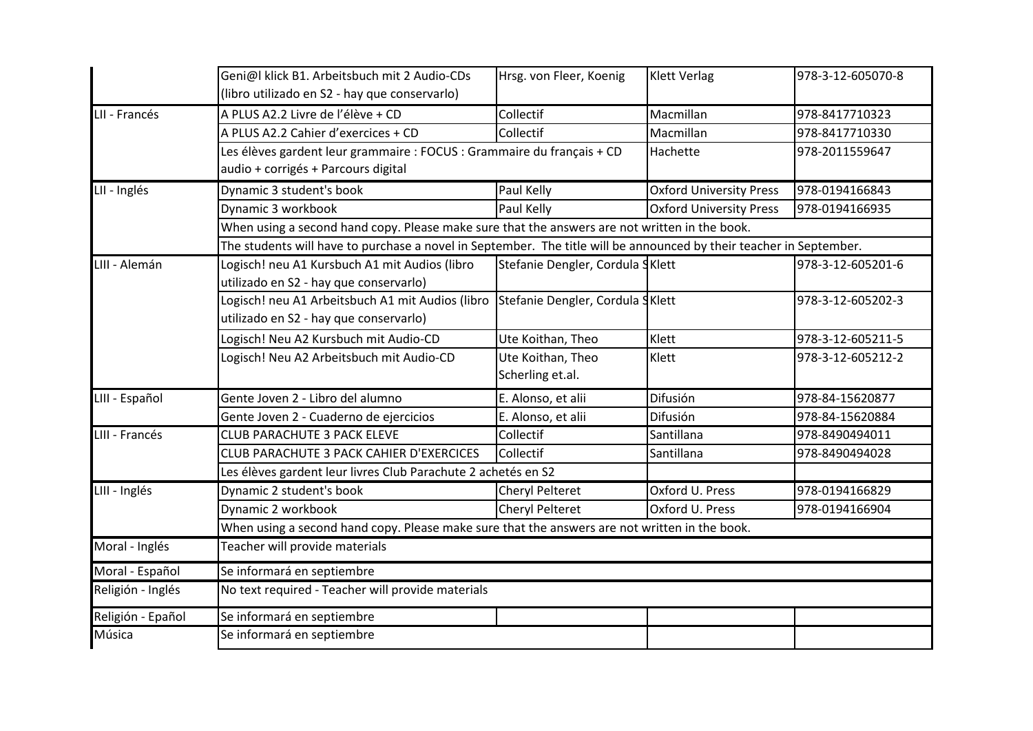|                   | Geni@l klick B1. Arbeitsbuch mit 2 Audio-CDs<br>(libro utilizado en S2 - hay que conservarlo)                                | Hrsg. von Fleer, Koenig                                                                                             | <b>Klett Verlag</b>            | 978-3-12-605070-8 |  |  |
|-------------------|------------------------------------------------------------------------------------------------------------------------------|---------------------------------------------------------------------------------------------------------------------|--------------------------------|-------------------|--|--|
| LII - Francés     | A PLUS A2.2 Livre de l'élève + CD                                                                                            | Collectif                                                                                                           | Macmillan                      | 978-8417710323    |  |  |
|                   | A PLUS A2.2 Cahier d'exercices + CD                                                                                          | Collectif                                                                                                           | Macmillan                      | 978-8417710330    |  |  |
|                   | Les élèves gardent leur grammaire : FOCUS : Grammaire du français + CD<br>audio + corrigés + Parcours digital                |                                                                                                                     | Hachette                       | 978-2011559647    |  |  |
| LII - Inglés      | Dynamic 3 student's book                                                                                                     | Paul Kelly                                                                                                          | <b>Oxford University Press</b> | 978-0194166843    |  |  |
|                   | Dynamic 3 workbook                                                                                                           | Paul Kelly                                                                                                          | <b>Oxford University Press</b> | 978-0194166935    |  |  |
|                   | When using a second hand copy. Please make sure that the answers are not written in the book.                                |                                                                                                                     |                                |                   |  |  |
|                   |                                                                                                                              | The students will have to purchase a novel in September. The title will be announced by their teacher in September. |                                |                   |  |  |
| LIII - Alemán     | Logisch! neu A1 Kursbuch A1 mit Audios (libro<br>utilizado en S2 - hay que conservarlo)                                      | Stefanie Dengler, Cordula SKlett                                                                                    |                                | 978-3-12-605201-6 |  |  |
|                   | Logisch! neu A1 Arbeitsbuch A1 mit Audios (libro SStefanie Dengler, Cordula SKlett<br>utilizado en S2 - hay que conservarlo) |                                                                                                                     |                                | 978-3-12-605202-3 |  |  |
|                   | Logisch! Neu A2 Kursbuch mit Audio-CD                                                                                        | Ute Koithan, Theo                                                                                                   | Klett                          | 978-3-12-605211-5 |  |  |
|                   | Logisch! Neu A2 Arbeitsbuch mit Audio-CD                                                                                     | Ute Koithan, Theo<br>Scherling et.al.                                                                               | Klett                          | 978-3-12-605212-2 |  |  |
| LIII - Español    | Gente Joven 2 - Libro del alumno                                                                                             | E. Alonso, et alii                                                                                                  | Difusión                       | 978-84-15620877   |  |  |
|                   | Gente Joven 2 - Cuaderno de ejercicios                                                                                       | E. Alonso, et alii                                                                                                  | Difusión                       | 978-84-15620884   |  |  |
| LIII - Francés    | <b>CLUB PARACHUTE 3 PACK ELEVE</b>                                                                                           | Collectif                                                                                                           | Santillana                     | 978-8490494011    |  |  |
|                   | CLUB PARACHUTE 3 PACK CAHIER D'EXERCICES                                                                                     | Collectif                                                                                                           | Santillana                     | 978-8490494028    |  |  |
|                   | Les élèves gardent leur livres Club Parachute 2 achetés en S2                                                                |                                                                                                                     |                                |                   |  |  |
| LIII - Inglés     | Dynamic 2 student's book                                                                                                     | Cheryl Pelteret                                                                                                     | Oxford U. Press                | 978-0194166829    |  |  |
|                   | Dynamic 2 workbook                                                                                                           | <b>Cheryl Pelteret</b>                                                                                              | Oxford U. Press                | 978-0194166904    |  |  |
|                   | When using a second hand copy. Please make sure that the answers are not written in the book.                                |                                                                                                                     |                                |                   |  |  |
| Moral - Inglés    | Teacher will provide materials                                                                                               |                                                                                                                     |                                |                   |  |  |
| Moral - Español   | Se informará en septiembre                                                                                                   |                                                                                                                     |                                |                   |  |  |
| Religión - Inglés | No text required - Teacher will provide materials                                                                            |                                                                                                                     |                                |                   |  |  |
| Religión - Epañol | Se informará en septiembre                                                                                                   |                                                                                                                     |                                |                   |  |  |
| Música            | Se informará en septiembre                                                                                                   |                                                                                                                     |                                |                   |  |  |